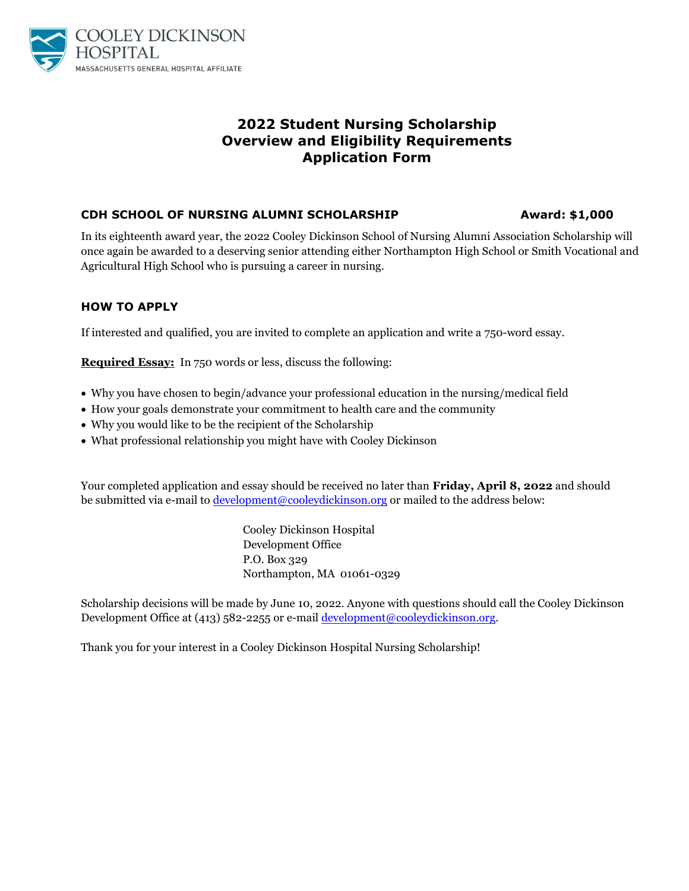

# **2022 Student Nursing Scholarship Overview and Eligibility Requirements Application Form**

### **CDH SCHOOL OF NURSING ALUMNI SCHOLARSHIP 4 Award: \$1,000**

In its eighteenth award year, the 2022 Cooley Dickinson School of Nursing Alumni Association Scholarship will once again be awarded to a deserving senior attending either Northampton High School or Smith Vocational and Agricultural High School who is pursuing a career in nursing.

### **HOW TO APPLY**

If interested and qualified, you are invited to complete an application and write a 750-word essay.

**Required Essay:** In 750 words or less, discuss the following:

- Why you have chosen to begin/advance your professional education in the nursing/medical field
- How your goals demonstrate your commitment to health care and the community
- Why you would like to be the recipient of the Scholarship
- What professional relationship you might have with Cooley Dickinson

Your completed application and essay should be received no later than **Friday, April 8, 2022** and should be submitted via e-mail to [development@cooleydickinson.org](mailto:development@cooleydickinson.org) or mailed to the address below:

> Cooley Dickinson Hospital Development Office P.O. Box 329 Northampton, MA 01061-0329

Scholarship decisions will be made by June 10, 2022. Anyone with questions should call the Cooley Dickinson Development Office at (413) 582-2255 or e-mai[l development@cooleydickinson.org.](mailto:development@cooleydickinson.org)

Thank you for your interest in a Cooley Dickinson Hospital Nursing Scholarship!